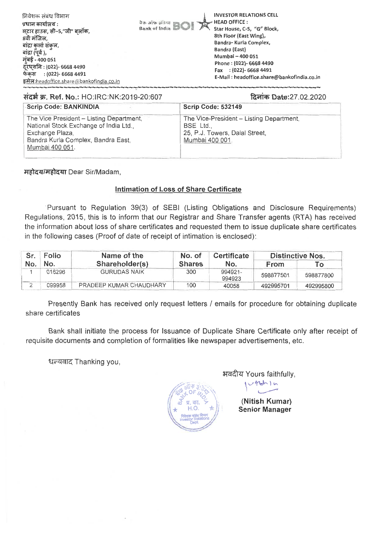

### **#43t W. Ref. No.:** HO:IRC:NK:2019-20:607 fa.lict, **Date:27.02.2020**

| Scrip Code: BANKINDIA                                                                                                                                          | <b>Scrip Code: 532149</b>                                                                                  |
|----------------------------------------------------------------------------------------------------------------------------------------------------------------|------------------------------------------------------------------------------------------------------------|
| The Vice President - Listing Department,<br>National Stock Exchange of India Ltd.,<br>Exchange Plaza,<br>Bandra Kurla Complex, Bandra East,<br>Mumbai 400 051. | The Vice-President - Listing Department,<br>BSE Ltd.,<br>25, P.J. Towers, Dalal Street,<br>Mumbai 400 001. |

महोदय/महोदया Dear Sir/Madam,

### **Intimation of Loss of Share Certificate**

Pursuant to Regulation 39(3) of SEBI (Listing Obligations and Disclosure Requirements) Regulations, 2015, this is to inform that our Registrar and Share Transfer agents (RTA) has received the information about loss of share certificates and requested them to issue duplicate share certificates in the following cases (Proof of date of receipt of intimation is enclosed):

| Sr.<br>No. | Folio  | Name of the             | No. of        | Certificate       | <b>Distinctive Nos.</b> |           |  |
|------------|--------|-------------------------|---------------|-------------------|-------------------------|-----------|--|
|            | No.    | Shareholder(s)          | <b>Shares</b> | No.               | <b>From</b>             | Τo        |  |
|            | 016296 | <b>GURUDAS NAIK</b>     | 300           | 994921-<br>994923 | 598877501               | 598877800 |  |
|            | 099958 | PRADEEP KUMAR CHAUDHARY | 100           | 40058             | 492995701               | 492995800 |  |

Presently Bank has received only request letters / emails for procedure for obtaining duplicate share certificates

Bank shall initiate the process for Issuance of Duplicate Share Certificate only after receipt of requisite documents and completion of formalities like newspaper advertisements, etc.

धन्यवाद Thanking you,

 $\tilde{z}$  and  $\tilde{z}$  $\sqrt{\frac{1}{2}(\frac{1}{2} \sqrt{\frac{1}{2}})}$  $\tilde{\phantom{a}}$  $\alpha$  ,  $\alpha$  ,  $\alpha$  $\begin{pmatrix} 2 \ 4 \ 6 \ 7 \end{pmatrix}$  H.O.  $\begin{pmatrix} 2 \ 7 \ 8 \end{pmatrix}$  $H.O.$  क्याल स्थान कर्णा $\left\langle \!\! \begin{array}{c} \bigoplus \limits_{i=1}^n \mathbb{Z}^i \end{array} \right\rangle$ निवेशक संबंध विभाग Investor Rotations Dept.

Yours faithfully,

**(Nitish Kumar) Senior Manager** 

 $\sim$  1 to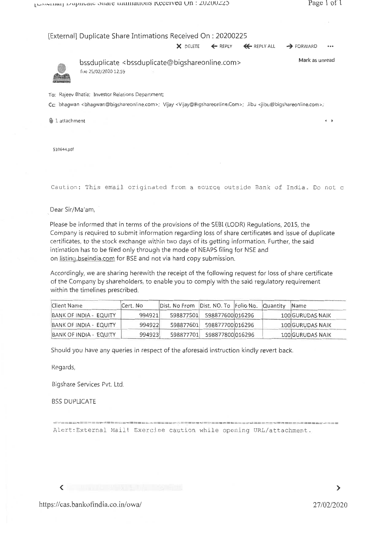|                          | [External] Duplicate Share Intimations Received On: 20200225                                                                                                                                  |          |         |                    |                       |              |
|--------------------------|-----------------------------------------------------------------------------------------------------------------------------------------------------------------------------------------------|----------|---------|--------------------|-----------------------|--------------|
|                          |                                                                                                                                                                                               | X DELETE | ← REPLY | <b>K</b> REPLY ALL | $\rightarrow$ FORWARD |              |
|                          | bssduplicate <bssduplicate@bigshareonline.com><br/>Tue 25/02/2020 12:59</bssduplicate@bigshareonline.com>                                                                                     |          |         |                    | Mark as unread        |              |
|                          | To: Rajeev Bhatia; Investor Relations Department;                                                                                                                                             |          |         |                    |                       |              |
|                          | Cc: bhaqwan <bhaqwan@biqshareonline.com>; Vijay <vijay@biqshareonline.com>; Jibu <jibu@biqshareonline.com>;</jibu@biqshareonline.com></vijay@biqshareonline.com></bhaqwan@biqshareonline.com> |          |         |                    |                       |              |
| $\emptyset$ 1 attachment |                                                                                                                                                                                               |          |         |                    |                       | $\leftarrow$ |
| 510644.pdf               |                                                                                                                                                                                               |          |         |                    |                       |              |

Caution: This email originated from a source outside Bank of India. Do not c.

Dear Sir/Ma'am.

Please be informed that in terms of the provisions of the SEBI (LODR) Regulations, 2015, the Company is required to submit information regarding loss of share certificates and issue of duplicate certificates, to the stock exchange within two days of its getting information. Further, the said intimation has to be filed only through the mode of NEAPS filing for NSE and on listing bseindia.com for BSE and not via hard copy submission.

Accordingly, we are sharing herewith the receipt of the following request for loss of share certificate of the Company by shareholders, to enable you to comply with the said regulatory requirement within the timelines prescribed.

| Client Name            | Cert. No | Dist. No From Dist. NO. To Folio No. Quantity |                            |  | <b>Name</b>             |
|------------------------|----------|-----------------------------------------------|----------------------------|--|-------------------------|
| BANK OF INDIA - EQUITY | 994921   | 598877501                                     | 598877600l016296           |  | <b>100 GURUDAS NAIK</b> |
| BANK OF INDIA - EQUITY | 994922   |                                               | 598877601 598877700 016296 |  | 100 GURUDAS NAIK        |
| BANK OF INDIA - EQUITY | 994923   | 598877701                                     | 598877800 016296           |  | <b>100 GURUDAS NAIK</b> |

Should you have any queries in respect of the aforesaid instruction kindly revert back.

Regards,

Bigshare Services Pvt. Ltd.

**BSS DUPLICATE** 

Alert: External Mail! Exercise caution while opening URL/attachment.

 $\checkmark$ 

=====================================

 $\geq$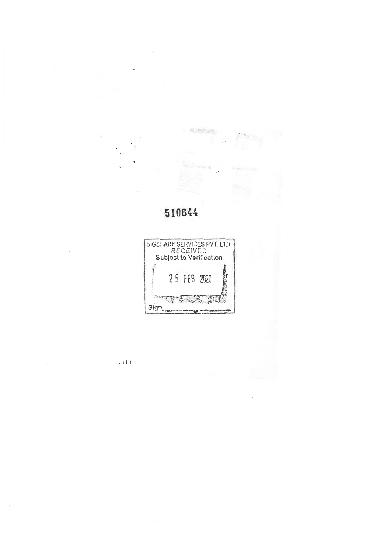# 510644

 $\label{eq:1} \begin{aligned} \mathcal{N}=\frac{1}{2}\left[\frac{1}{2}\sqrt{\frac{2\pi}{\hbar}}\frac{\sqrt{2\pi}}{\hbar}\frac{\sqrt{2\pi}}{\sqrt{2\pi}}\frac{\sqrt{2\pi}}{\sqrt{2\pi}}\right] \mathcal{N}_{\rm eff} \end{aligned}$ 

Â.



 $l$  of  $l$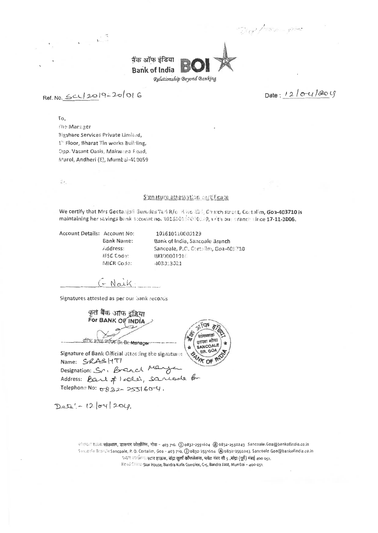Did form - green



Ref. No. Scul2019-20/016

 $\sqrt{2}$ 

Date: 12/04/204

To.

The Manager Bigshare Services Private Limited, ).<sup>57</sup> Floor, Bharat Tin works Building, Opp. Vasant Oasis, Makwana Foad, Marol, Andheri (E), Mumbai-400059

 $\Omega_{\rm{th}}$ 

### Signature attestation certificate

We certify that Mrs Geetanjali Gurudas Tari R/o H No 211. Church street, Cortalim, Goa-403710 is maintaining her savings bank account no. 101610110000.99, vith our cranch since 17-11-2006.

Account Details: Account No: **Bank Name:** Address: IFSC Code: MICR Colfe:

101610110000129 Bank of India, Sancoale Branch Sancoale, P.O. Cortalins, Goa-403710 BKID000101 403013011

सांकशाळ

SANCOALE BR. GOA

GNaik.

Signatures attested as per our bank records

कृत बैंक आफ इंडिया For BANK OF INDIA शास्त्रा शोधा T. 21 146 Sr. Br. Manage वरिष्ट श

Signature of Bank Official attesting the signature: Name: SRASHTI Designation: Sri Branch Maryca Telephone No: 0832-255160-4.

Dete' - 12/04/204.

रहीकाल शाहन सांकवाल, डाकघर कोर्तालिम, गोवा - 403 710. (1) 0832-2551604 (@0832-2550243 Sancoale.Goa@bankofindia.co.in Sancosle Brattliti Sancoale, P. O. Cortalim, Goa - 403 710. 20832-2551604 @0832-2550243 Sancoale.Goa@bankofindia.co.in पदान जर्मालया स्टार हाऊस, बांद्रा कूर्ला कॉमप्लेकस, फ्लोट नंबर सी 5 ,बांद्रा (पूर्व) मंबई 400 051. Head Clinic Star House, Bandra Kurla Complex, C-5, Bandra East, Mumbai - 400 051.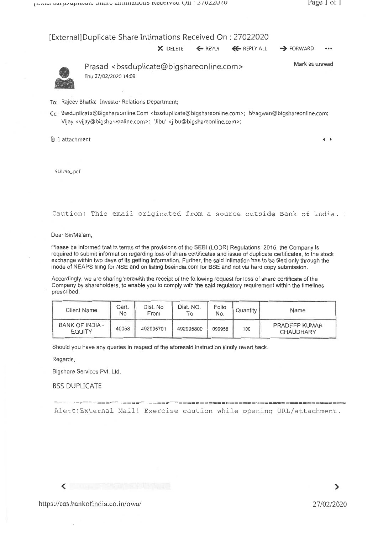### [External]Duplicate Share Intimations Received On : 27022020

 $\times$  DELETE  $\leftarrow$  REPLY  $\leftarrow$  REPLY ALL  $\rightarrow$  FORWARD



Prasad <bssduplicate@bigshareonline.com> Thu 27/02/2020 14:09

Mark as unread

To: Rajeev Bhatia; Investor Relations Department;

Cc: Bssduplicate@Bigshareonline:Com <bssduplicate@bigshareonline.com>; bhagwan@bigshareonline.com; Vijay <vijay@bigshareonline.com>; 'Jibu' <jibu@bigshareonline.com>;

 $\Box$  1 attachment 4

510796\_.pdf

Caution: This email originated from a source outside Bank of India.

Dear Sir/Ma'am,

Please be informed that in terms of the provisions of the SEBI (LODR) Regulations, 2015, the Company is required to submit information regarding loss of share certificates and issue of duplicate certificates, to the stock exchange within two days of its getting information. Further, the said intimation has to be filed only through the mode of NEAPS filing for NSE and on listing.bseindia.com for BSE and not via hard copy submission.

Accordingly, we are sharing herewith the receipt of the following request for loss of share certificate of the Company by shareholders, to enable you to comply with the said regulatory requirement within the timelines prescribed.

| Client Name               | Cert.<br>No | Dist. No<br>From | Dist. NO.<br>ľο | Folio<br>No. | Quantity I | Name                                     |
|---------------------------|-------------|------------------|-----------------|--------------|------------|------------------------------------------|
| BANK OF INDIA -<br>EQUITY | 40058       | 492995701        | 492995800       | 099958       | 100        | <b>PRADEEP KUMAR</b><br><b>CHAUDHARY</b> |

Should you have any queries in respect of the aforesaid instruction kindly revert back.

Regards,

Bigshare Services Pvt. Ltd.

BSS DUPLICATE

Alert:External Mail! Exercise caution while opening URL/attachment.

 $\blacktriangleleft$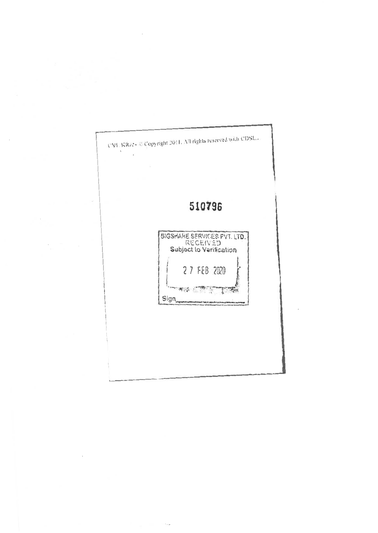

그는 아이들이 모습

 $\sim$   $^{-1}$